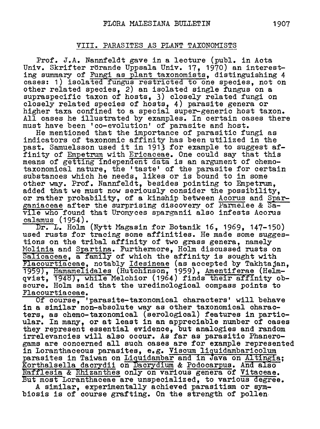## VIII. Parasites as plant taxonomists

Prof. J.A. Nannfeldt gave in <sup>a</sup> lecture (publ. in Acta Univ. Skrifter rörande Uppsala Univ. 17, 1970) an interesting summary of Fungi as plant taxonomists, distinguishing <sup>4</sup> cases: 1) isolated fungus restricted to one species, not on other related species, 2) an isolated single fungus on <sup>a</sup> other related species, 2) an isolated single lungus on a<br>supraspecific taxon of hosts, 3) closely related fungi on supraspectific taxon of hosts, 3) crosery ferated fungi higher taxa confined to <sup>a</sup> special super-generic host taxon. All cases he illustrated by examples. In certain cases there must have been 'co-evolution' of parasite and host.

He mentioned that the importance of parasitic fungi as ne mentioned that the importance of parasitic fungi as<br>indicators of taxonomic affinity has been utilized in the<br>past. Samuelsson used it in 1913 for example to suggest af past. Samuelsson used it in 1913 for example to suggest af-<br>finity of Empetrum with Ericaceae. One could say that this means of getting independent data is an argument of chemotaxonomical nature, the 'taste' of the parasite for certain substances which he needs, likes or is bound to in some other way. Prof. Nannfeldt, besides pointing to Empetrum, added that we must now seriously consider the possibility, or rather probability, of <sup>a</sup> kinship between Acorus and Sparganiaceae after the surprising discovery of Parmelee & Savile who found that Uromyces sparganii also infests Acorus calamus (1954).

 $Dr. L.$  Holm (Nytt Magasin for Botanik 16. 1969. 147-150) used rusts for tracing some affinities. He made some suggestions on the tribal affinity of two grass genera, namely Molinia and Spartina. Furthermore, Holm discussed rusts on Salicaceae, a family of which the affinity is sought with **Flaccurtiaceae**, a lamily of which the affiling is sought with 1959), Hamamelidales (Hutchinson, 1959), Amentiferae (Helm-1999), <u>Hamameildales</u> (Hutchinson, 1999), <u>Amentilerae</u> (Heim-<br>qvist, 1948), while Melchior (1964) finds their affinity ob scure. Holm said that the uredinological compass points to Flacourtiaceae.

Of course, 'parasite-taxonomical characters' will behave in <sup>a</sup> similar non-absolute way as other taxonomical characters, as chemo-taxonomical (serological) features in particular. In many, or at least in an appreciable number of cases they represent essential evidence, but analogies and random they represent essential evidence, but analogies and rando<br>irrelevancies will also occur. As far as parasitic Phanero gams are concerned all such cases are for example represented in Loranthaceous parasites, e.g. Viscum liquidambaricolum In Loranthaceous parasites, e.g. <u>viscum liquidambaricolum</u><br>parasites in Taiwan on Liquidambar and in Java on Altingia;<br>Korthalsella dacrydii on Dacrydium & Podocarpus. And also **Rofthaiseila dacrydii on Dacrydium & Fodocarpus. And aiso**<br>Rafflesia & Rhizanthes only on various genera of Vitaceae. Liquidambar and in Java o<br>n <u>Dacrydium</u> & <u>Podocarpus</u>. But most Loranthaceae are unspecialized, to various degree. <sup>A</sup> similar, experimentally achieved parasitism or sym-

biosis is of course grafting. On the strength of pollen